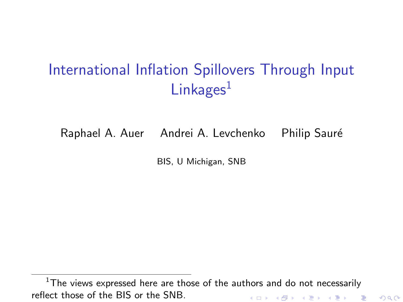# <span id="page-0-0"></span>International Inflation Spillovers Through Input  $Linkages<sup>1</sup>$

Raphael A. Auer Andrei A. Levchenko Philip Sauré

BIS, U Michigan, SNB

 $1$ The views expressed here are those of the authors and do not necessarily reflect those of the BIS or the SNB.K ロ K K d K K K X X R X X R X R R

 $2Q$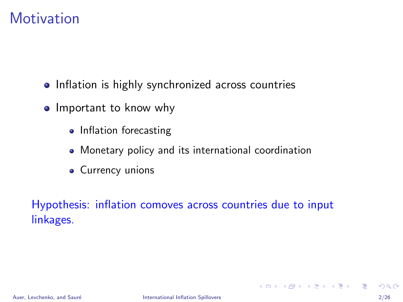# **Motivation**

- Inflation is highly synchronized across countries
- Important to know why
	- Inflation forecasting
	- Monetary policy and its international coordination
	- Currency unions

Hypothesis: inflation comoves across countries due to input linkages.

**KOD KARD KED KED B YOUR**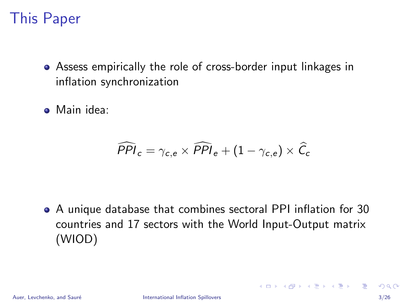# This Paper

- Assess empirically the role of cross-border input linkages in inflation synchronization
- Main idea:

$$
\widehat{PPI}_c = \gamma_{c,e} \times \widehat{PPI}_e + (1 - \gamma_{c,e}) \times \widehat{C}_c
$$

A unique database that combines sectoral PPI inflation for 30 countries and 17 sectors with the World Input-Output matrix (WIOD)

**KOD KARD KED KED B YOUR**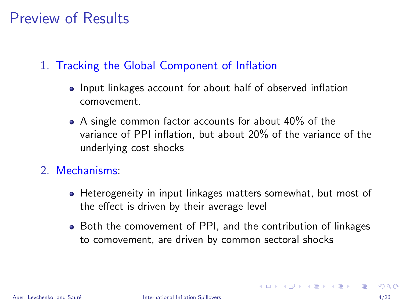# Preview of Results

#### 1. Tracking the Global Component of Inflation

- Input linkages account for about half of observed inflation comovement.
- A single common factor accounts for about 40% of the variance of PPI inflation, but about 20% of the variance of the underlying cost shocks
- 2. Mechanisms:
	- Heterogeneity in input linkages matters somewhat, but most of the effect is driven by their average level
	- Both the comovement of PPI, and the contribution of linkages to comovement, are driven by common sectoral shocks

 $\mathbf{A} \equiv \mathbf{A} + \mathbf{A} + \mathbf{B} + \mathbf{A} + \mathbf{B} + \mathbf{A} + \mathbf{B} + \mathbf{B} + \mathbf{A} + \mathbf{B} + \mathbf{A} + \mathbf{B} + \mathbf{A} + \mathbf{B} + \mathbf{A} + \mathbf{B} + \mathbf{A} + \mathbf{B} + \mathbf{A} + \mathbf{B} + \mathbf{A} + \mathbf{B} + \mathbf{A} + \mathbf{B} + \mathbf{A} + \mathbf{B} + \mathbf{A} + \mathbf{B} + \mathbf{A} + \mathbf{B} + \math$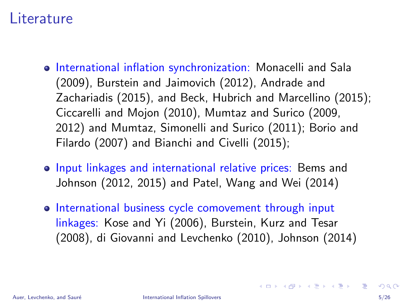### Literature

- o International inflation synchronization: Monacelli and Sala (2009), Burstein and Jaimovich (2012), Andrade and Zachariadis (2015), and Beck, Hubrich and Marcellino (2015); Ciccarelli and Mojon (2010), Mumtaz and Surico (2009, 2012) and Mumtaz, Simonelli and Surico (2011); Borio and Filardo (2007) and Bianchi and Civelli (2015);
- Input linkages and international relative prices: Bems and Johnson (2012, 2015) and Patel, Wang and Wei (2014)
- International business cycle comovement through input linkages: Kose and Yi (2006), Burstein, Kurz and Tesar (2008), di Giovanni and Levchenko (2010), Johnson (2014)

**KORK EX KEY ARD YOUR**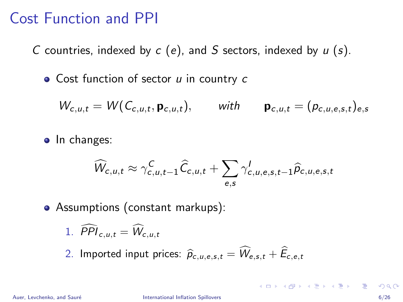### Cost Function and PPI

C countries, indexed by  $c$  (e), and S sectors, indexed by  $u$  (s).

 $\bullet$  Cost function of sector  $u$  in country  $c$ 

$$
W_{c,u,t} = W(C_{c,u,t}, \mathbf{p}_{c,u,t}), \quad \text{with} \quad \mathbf{p}_{c,u,t} = (p_{c,u,e,s,t})_{e,s}
$$

• In changes:

$$
\widehat{W}_{c,u,t} \approx \gamma_{c,u,t-1}^{C} \widehat{C}_{c,u,t} + \sum_{e,s} \gamma_{c,u,e,s,t-1}^{J} \widehat{p}_{c,u,e,s,t}
$$

• Assumptions (constant markups):

1. 
$$
\widehat{PPI}_{c,u,t} = \widehat{W}_{c,u,t}
$$

2. Imported input prices:  $\hat{p}_{c,u,e,s,t} = \widehat{W}_{e,s,t} + \widehat{E}_{c,e,t}$ 

 $\mathbf{A} \equiv \mathbf{A} + \mathbf{A} + \mathbf{B} + \mathbf{A} + \mathbf{B} + \mathbf{A} + \mathbf{B} + \mathbf{A} + \mathbf{B} + \mathbf{A} + \mathbf{B} + \mathbf{A} + \mathbf{B} + \mathbf{A} + \mathbf{B} + \mathbf{A} + \mathbf{B} + \mathbf{A} + \mathbf{B} + \mathbf{A} + \mathbf{B} + \mathbf{A} + \mathbf{B} + \mathbf{A} + \mathbf{B} + \mathbf{A} + \mathbf{B} + \mathbf{A} + \mathbf{B} + \mathbf{A} + \math$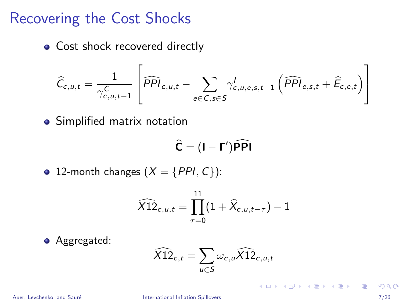### <span id="page-6-0"></span>Recovering the Cost Shocks

• Cost shock recovered directly

$$
\widehat{C}_{c,u,t} = \frac{1}{\gamma_{c,u,t-1}^C} \left[ \widehat{PPI}_{c,u,t} - \sum_{e \in C, s \in S} \gamma_{c,u,e,s,t-1}^l \left( \widehat{PPI}_{e,s,t} + \widehat{E}_{c,e,t} \right) \right]
$$

• Simplified matrix notation

$$
\widehat{C}=(I-\Gamma')\widehat{PPI}
$$

• 12-month changes  $(X = \{PPI, C\})$ :

$$
\widehat{\chi 12}_{c,u,t} = \prod_{\tau=0}^{11} (1 + \widehat{X}_{c,u,t-\tau}) - 1
$$

**•** Aggregated:

$$
\widehat{\chi_{12}}_{c,t} = \sum_{u \in S} \omega_{c,u} \widehat{\chi_{12}}_{c,u,t}
$$

Auer, Levchenko, and Sauré **International Inflation Spillovers** June 2017 126, 2017 2018 12: 2017 12: 2017 12: 201

K ロ ▶ K 個 ▶ K 로 ▶ K 로 ▶ 『로 『 YO Q @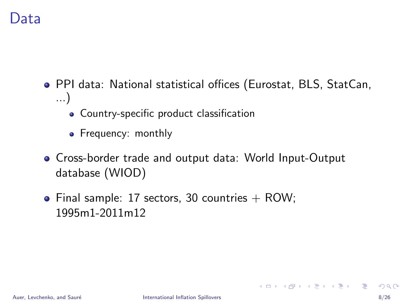### <span id="page-7-0"></span>)ata

- PPI data: National statistical offices (Eurostat, BLS, StatCan, ...)
	- Country-specific product classification
	- Frequency: monthly
- Cross-border trade and output data: World Input-Output database (WIOD)
- Final sample: 17 sectors, 30 countries  $+$  ROW; 1995m1-2011m12

 $\mathbf{A} \equiv \mathbf{A} + \mathbf{A} \mathbf{B} + \mathbf{A} \mathbf{B} + \mathbf{A} \mathbf{B} + \mathbf{B} \mathbf{B}$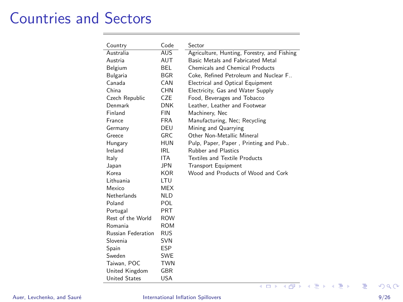# Countries and Sectors

| Country                   | Code       | Sector                                      |
|---------------------------|------------|---------------------------------------------|
| Australia                 | <b>AUS</b> | Agriculture, Hunting, Forestry, and Fishing |
| Austria                   | AUT        | Basic Metals and Eabricated Metal           |
| Belgium                   | BEL.       | Chemicals and Chemical Products             |
| Bulgaria                  | <b>BGR</b> | Coke, Refined Petroleum and Nuclear F.,     |
| Canada                    | CAN        | Electrical and Optical Equipment            |
| China                     | CHN        | Electricity, Gas and Water Supply           |
| Czech Republic            | <b>CZE</b> | Food, Beverages and Tobacco                 |
| Denmark                   | <b>DNK</b> | Leather. Leather and Footwear               |
| Finland                   | <b>FIN</b> | Machinery, Nec                              |
| France                    | <b>FRA</b> | Manufacturing, Nec; Recycling               |
| Germany                   | DEU        | Mining and Quarrying                        |
| Greece                    | GRC        | Other Non-Metallic Mineral                  |
| Hungary                   | <b>HUN</b> | Pulp, Paper, Paper, Printing and Pub        |
| Ireland                   | IRL        | <b>Rubber and Plastics</b>                  |
| Italy                     | ITA.       | Textiles and Textile Products               |
| Japan                     | JPN        | <b>Transport Equipment</b>                  |
| Korea                     | <b>KOR</b> | Wood and Products of Wood and Cork          |
| Lithuania                 | <b>LTU</b> |                                             |
| Mexico                    | <b>MEX</b> |                                             |
| <b>Netherlands</b>        | NI D       |                                             |
| Poland                    | POL        |                                             |
| Portugal                  | <b>PRT</b> |                                             |
| Rest of the World         | <b>ROW</b> |                                             |
| Romania                   | <b>ROM</b> |                                             |
| <b>Russian Federation</b> | <b>RUS</b> |                                             |
| Slovenia                  | <b>SVN</b> |                                             |
| Spain                     | <b>ESP</b> |                                             |
| Sweden                    | <b>SWE</b> |                                             |
| Taiwan, POC               | <b>TWN</b> |                                             |
| United Kingdom            | <b>GBR</b> |                                             |
| <b>United States</b>      | <b>USA</b> |                                             |
|                           |            | ●▶<br>ŧ<br>÷.<br>4 D F<br>∍<br>×<br>つひい     |

#### Auer, Levchenko, and Sauré **International Inflation Spillovers** June 2017 9/26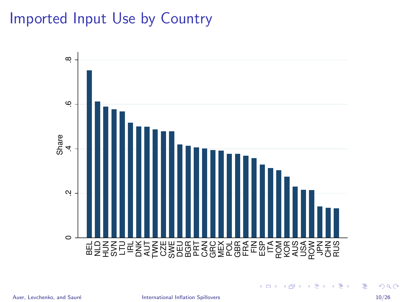# Imported Input Use by Country



画

イロト イ部 トイヨ トイヨト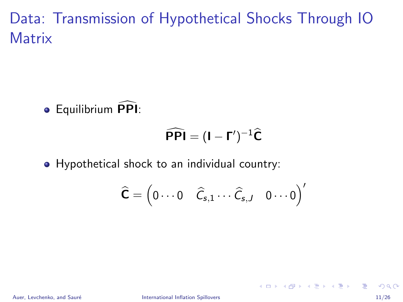Data: Transmission of Hypothetical Shocks Through IO **Matrix** 

Equilibrium PPI <sup>d</sup>:

$$
\widehat{\mathsf{PPI}} = (\mathbf{I} - \mathbf{\Gamma}')^{-1}\widehat{\mathbf{C}}
$$

• Hypothetical shock to an individual country:

$$
\widehat{\textbf{C}} = \begin{pmatrix} 0 \cdots 0 & \widehat{\mathit{C}}_{s,1} \cdots \widehat{\mathit{C}}_{s,J} & 0 \cdots 0 \end{pmatrix}'
$$

 $\mathbf{A} \equiv \mathbf{A} + \mathbf{A} \mathbf{B} + \mathbf{A} \mathbf{B} + \mathbf{A} \mathbf{B} + \mathbf{B} \mathbf{B}$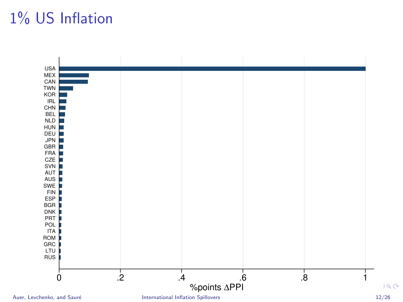# 1% US Inflation

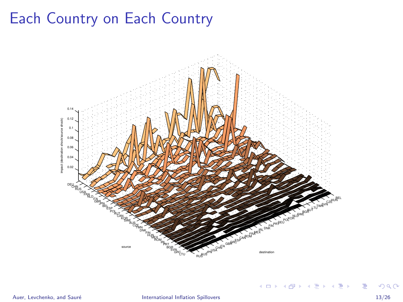# <span id="page-12-0"></span>Each Country on Each Country



÷,

メロト メ都 トメ ヨ トメ ヨト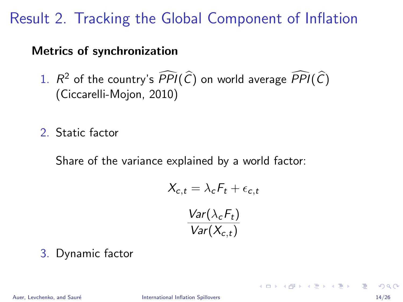# Result 2. Tracking the Global Component of Inflation

#### Metrics of synchronization

- 1.  $R^2$  of the country's  $\overline{PPI}(\overline{C})$  on world average  $\overline{PPI}(\overline{C})$ (Ciccarelli-Mojon, 2010)
- 2. Static factor

Share of the variance explained by a world factor:

$$
X_{c,t} = \lambda_c F_t + \epsilon_{c,t}
$$

$$
\frac{Var(\lambda_c F_t)}{Var(X_{c,t})}
$$

3. Dynamic factor

イロト イ押 トイヨ トイヨ トー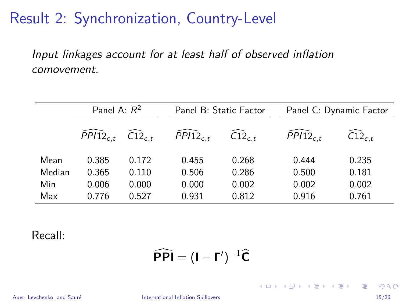### <span id="page-14-0"></span>Result 2: Synchronization, Country-Level

Input linkages account for at least half of observed inflation comovement.

|        | Panel A: $R^2$           |                              | Panel B: Static Factor |                              |               | Panel C: Dynamic Factor       |  |
|--------|--------------------------|------------------------------|------------------------|------------------------------|---------------|-------------------------------|--|
|        | $\overline{P}P112_{c,t}$ | $\widehat{\text{C12}}_{c.t}$ | $PPI12_{c.t}$          | $\widehat{\text{C12}}_{c.t}$ | $PPI12_{c.t}$ | $\widehat{\text{C12}}_{c.t.}$ |  |
| Mean   | 0.385                    | 0.172                        | 0.455                  | 0.268                        | 0.444         | 0.235                         |  |
| Median | 0.365                    | 0.110                        | 0.506                  | 0.286                        | 0.500         | 0.181                         |  |
| Min    | 0.006                    | 0.000                        | 0.000                  | 0.002                        | 0.002         | 0.002                         |  |
| Max    | 0.776                    | 0.527                        | 0.931                  | 0.812                        | 0.916         | 0.761                         |  |

Recall:

$$
\widehat{\mathsf{PPI}} = (\mathbf{I} - \mathbf{\Gamma}')^{-1}\widehat{\mathbf{C}}
$$

Auer, Levchenko, and Sauré **International Inflation Spillovers** June 2017 15/26

**KOD KARD KED KED DA MAA**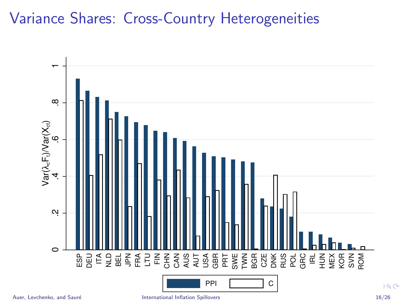# Variance Shares: Cross-Country Heterogeneities



 $a^{\alpha}$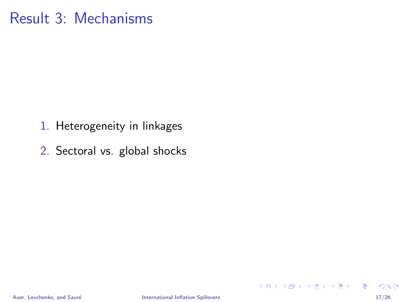# <span id="page-16-0"></span>Result 3: Mechanisms

- 1. Heterogeneity in linkages
- 2. Sectoral vs. global shocks

K ロ ▶ K 個 ▶ K 로 ▶ K 로 ▶ - 로 - K 9 Q @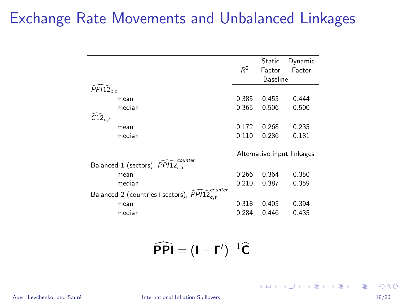# Exchange Rate Movements and Unbalanced Linkages

|                                                                |                            | Static          | Dynamic |
|----------------------------------------------------------------|----------------------------|-----------------|---------|
|                                                                | $R^2$                      | Factor          | Factor  |
|                                                                |                            | <b>Baseline</b> |         |
|                                                                |                            |                 |         |
| $\bar{P}P112_{c.t}$                                            |                            |                 |         |
| mean                                                           | 0.385                      | 0.455           | 0.444   |
| median                                                         | 0.365                      | 0.506           | 0.500   |
| $C12_{c,t}$                                                    |                            |                 |         |
| mean                                                           | 0.172                      | 0.268           | 0.235   |
|                                                                |                            |                 |         |
| median                                                         | 0.110                      | 0.286           | 0.181   |
|                                                                |                            |                 |         |
|                                                                | Alternative input linkages |                 |         |
| . counter<br>Balanced 1 (sectors), $PPI12_{c,t}$               |                            |                 |         |
| mean                                                           | 0.266                      | 0.364           | 0.350   |
| median                                                         | 0.210                      | 0.387           | 0.359   |
| counter<br>Balanced 2 (countries+sectors), PPI12 <sub>ct</sub> |                            |                 |         |
| mean                                                           | 0.318                      | 0.405           | 0.394   |
| median                                                         | 0.284                      | 0.446           | 0.435   |

 $\widehat{\mathsf{PPI}} = (\mathsf{I} - \mathsf{\Gamma}')^{-1}\widehat{\mathsf{C}}$ 

Auer, Levchenko, and Sauré **International Inflation Spillovers** June 2017 18/26

**KORK EXTERNS ORA**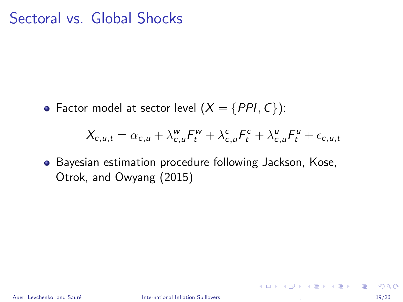### Sectoral vs. Global Shocks

• Factor model at sector level  $(X = \{PPI, C\})$ :

$$
X_{c,u,t} = \alpha_{c,u} + \lambda_{c,u}^w F_t^w + \lambda_{c,u}^c F_t^c + \lambda_{c,u}^u F_t^u + \epsilon_{c,u,t}
$$

• Bayesian estimation procedure following Jackson, Kose, Otrok, and Owyang (2015)

**KORK EXTERNS OR ABY**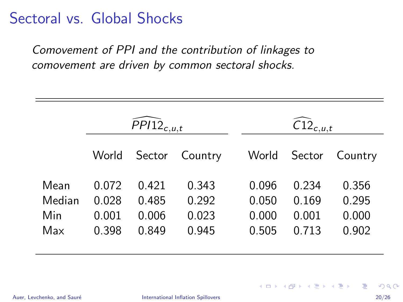# Sectoral vs. Global Shocks

Comovement of PPI and the contribution of linkages to comovement are driven by common sectoral shocks.

|                              | $\widehat{P}P/12_{c,u,t}$        |                                  |                                  |                                  | $\widehat{\text{C12}}_{c,u,t}$   |                                  |  |
|------------------------------|----------------------------------|----------------------------------|----------------------------------|----------------------------------|----------------------------------|----------------------------------|--|
|                              | World                            | Sector                           | Country                          | World                            | Sector                           | Country                          |  |
| Mean<br>Median<br>Min<br>Max | 0.072<br>0.028<br>0.001<br>0.398 | 0.421<br>0.485<br>0.006<br>0.849 | 0.343<br>0.292<br>0.023<br>0.945 | 0.096<br>0.050<br>0.000<br>0.505 | 0.234<br>0.169<br>0.001<br>0.713 | 0.356<br>0.295<br>0.000<br>0.902 |  |

画

**K ロ ▶ | K 母 ▶ | K ヨ ▶ | K ヨ ▶ |**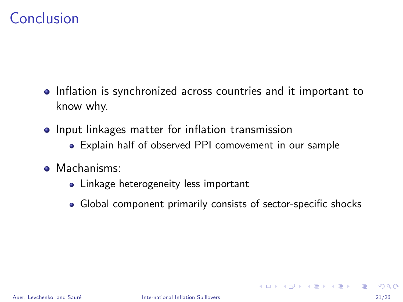# <span id="page-20-0"></span>Conclusion

- Inflation is synchronized across countries and it important to know why.
- Input linkages matter for inflation transmission
	- Explain half of observed PPI comovement in our sample
- Machanisms:
	- Linkage heterogeneity less important
	- Global component primarily consists of sector-specific shocks

**KOD KARD KED KED B YOUR**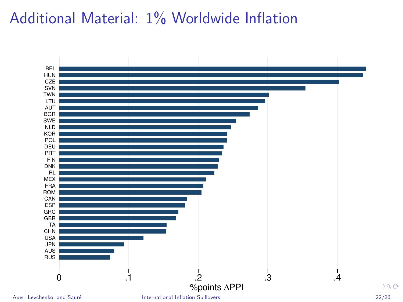# <span id="page-21-0"></span>Additional Material: 1% Worldwide Inflation

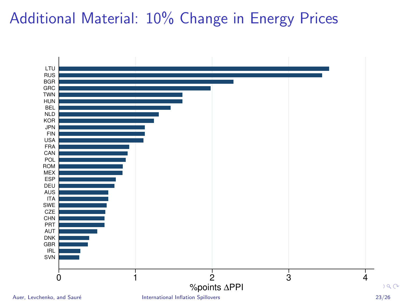# <span id="page-22-0"></span>Additional Material: 10% Change in Energy Prices

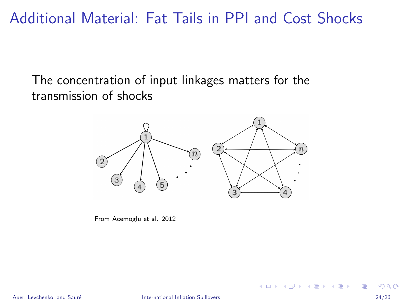Additional Material: Fat Tails in PPI and Cost Shocks

The concentration of input linkages matters for the transmission of shocks



From Acemoglu et al. 2012

画

イロト イ部 トイヨ トイヨト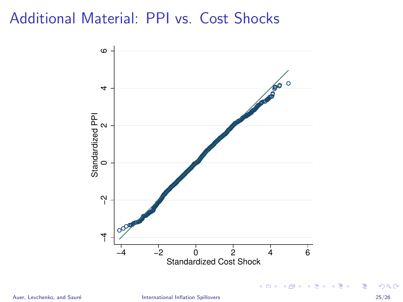### Additional Material: PPI vs. Cost Shocks



重